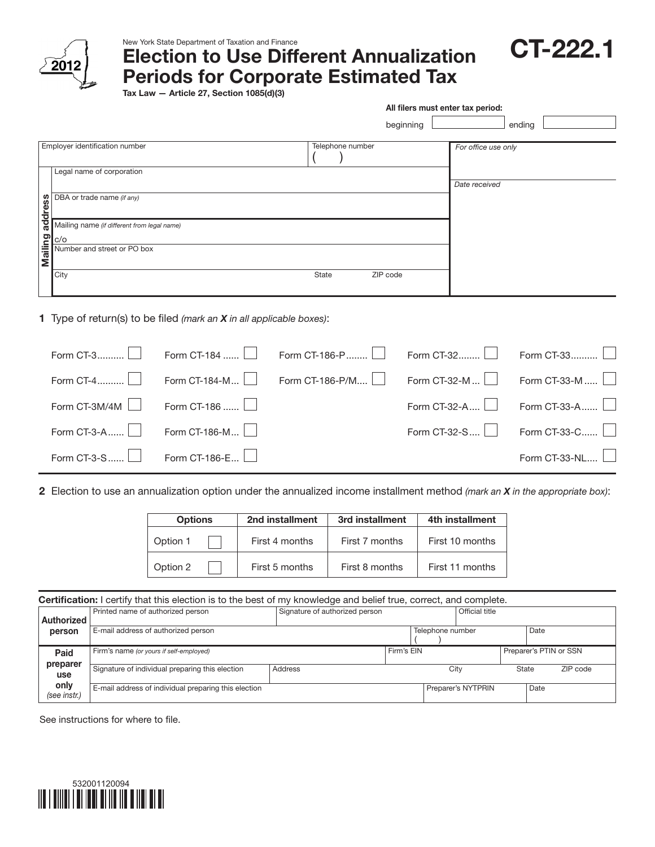

## New York State Department of Taxation and Finance

Election to Use Different Annualization

CT-222.1

Periods for Corporate Estimated Tax

Tax Law — Article 27, Section 1085(d)(3)

|                                                                               |                                                    | All filers must enter tax period: |                  |              |                     |               |  |
|-------------------------------------------------------------------------------|----------------------------------------------------|-----------------------------------|------------------|--------------|---------------------|---------------|--|
|                                                                               |                                                    |                                   |                  | beginning    |                     | ending        |  |
|                                                                               | Employer identification number                     |                                   | Telephone number |              | For office use only |               |  |
|                                                                               | Legal name of corporation                          |                                   |                  |              | Date received       |               |  |
| address                                                                       | DBA or trade name (if any)                         |                                   |                  |              |                     |               |  |
|                                                                               | Mailing name (if different from legal name)<br>c/o |                                   |                  |              |                     |               |  |
| Mailing                                                                       | Number and street or PO box                        |                                   |                  |              |                     |               |  |
|                                                                               | City                                               |                                   | State            | ZIP code     |                     |               |  |
| <b>1</b> Type of return(s) to be filed (mark an $X$ in all applicable boxes): |                                                    |                                   |                  |              |                     |               |  |
|                                                                               | Form CT-3                                          | Form CT-184                       | Form CT-186-P    | Form CT-32   |                     | Form CT-33.   |  |
|                                                                               | Form CT-4                                          | Form CT-184-M                     | Form CT-186-P/M  | Form CT-32-M |                     | Form CT-33-M  |  |
|                                                                               | Form CT-3M/4M                                      | Form CT-186                       |                  | Form CT-32-A |                     | Form CT-33-A. |  |
|                                                                               | Form CT-3-A                                        | Form CT-186-M                     |                  | Form CT-32-S |                     | Form CT-33-C  |  |

| Form CT-3-S<br> | $-186-F$<br>rorm<br>.<br><u>.</u> | $CT-33-NI$<br>$Torm$ . |
|-----------------|-----------------------------------|------------------------|
|                 |                                   |                        |

2 Election to use an annualization option under the annualized income installment method *(mark an X in the appropriate box)*:

| <b>Options</b> | 2nd installment | 3rd installment | 4th installment |  |  |
|----------------|-----------------|-----------------|-----------------|--|--|
| Option 1       | First 4 months  | First 7 months  | First 10 months |  |  |
| Option 2       | First 5 months  | First 8 months  | First 11 months |  |  |

| <b>Certification:</b> I certify that this election is to the best of my knowledge and belief true, correct, and complete. |                                                      |                                |            |                  |                        |                   |      |  |
|---------------------------------------------------------------------------------------------------------------------------|------------------------------------------------------|--------------------------------|------------|------------------|------------------------|-------------------|------|--|
| Authorized                                                                                                                | Printed name of authorized person                    | Signature of authorized person |            | Official title   |                        |                   |      |  |
| person                                                                                                                    | E-mail address of authorized person                  |                                |            | Telephone number |                        |                   | Date |  |
| Paid                                                                                                                      | Firm's name (or yours if self-employed)              |                                | Firm's EIN |                  | Preparer's PTIN or SSN |                   |      |  |
| preparer<br>use                                                                                                           | Signature of individual preparing this election      | Address                        |            |                  | City                   | ZIP code<br>State |      |  |
| only<br>(see instr.)                                                                                                      | E-mail address of individual preparing this election |                                |            |                  | Preparer's NYTPRIN     |                   | Date |  |

See instructions for where to file.